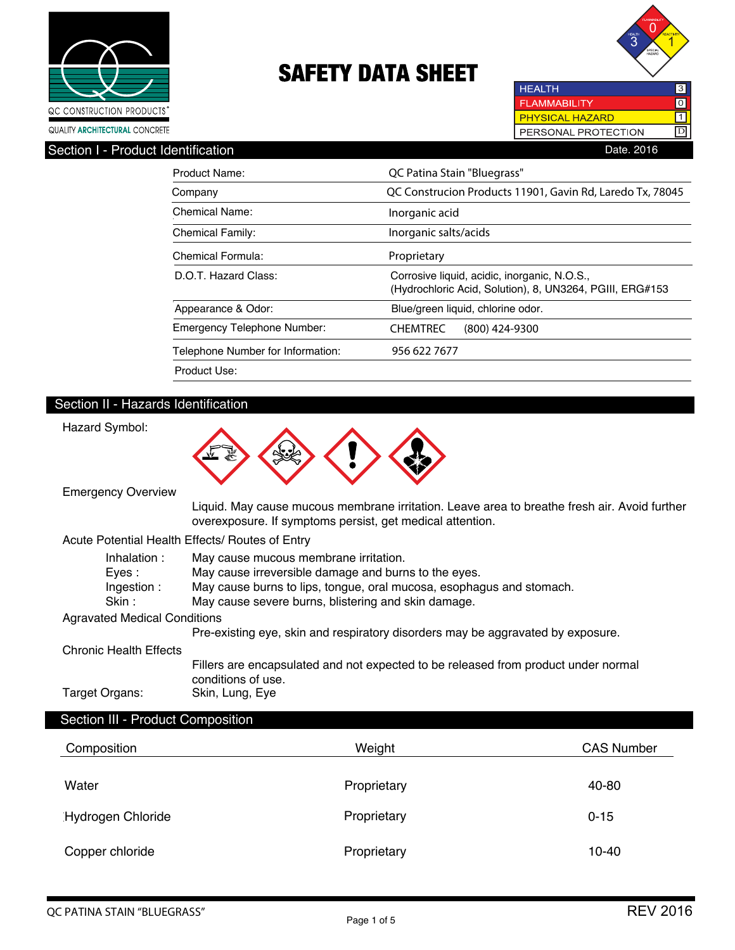



**HEALTH** 3 **FLAMMABILITY**  $\overline{\text{O}}$ **PHYSICAL HAZARD**  $\boxed{1}$ PERSONAL PROTECTION D

| Section I - Product Identification<br>Date, 2016 |  |
|--------------------------------------------------|--|

| Product Name:                      | QC Patina Stain "Bluegrass"                                                                              |  |
|------------------------------------|----------------------------------------------------------------------------------------------------------|--|
| Company                            | QC Construcion Products 11901, Gavin Rd, Laredo Tx, 78045                                                |  |
| Chemical Name:                     | Inorganic acid                                                                                           |  |
| <b>Chemical Family:</b>            | Inorganic salts/acids                                                                                    |  |
| Chemical Formula:                  | Proprietary                                                                                              |  |
| D.O.T. Hazard Class:               | Corrosive liquid, acidic, inorganic, N.O.S.,<br>(Hydrochloric Acid, Solution), 8, UN3264, PGIII, ERG#153 |  |
| Appearance & Odor:                 | Blue/green liquid, chlorine odor.                                                                        |  |
| <b>Emergency Telephone Number:</b> | <b>CHEMTREC</b><br>$(800)$ 424-9300                                                                      |  |
| Telephone Number for Information:  | 956 622 7677                                                                                             |  |
| Product Use:                       |                                                                                                          |  |

# Section II - Hazards Identification



Emergency Overview

Hazard Symbol:

 Liquid. May cause mucous membrane irritation. Leave area to breathe fresh air. Avoid further overexposure. If symptoms persist, get medical attention.

Acute Potential Health Effects/ Routes of Entry

| Inhalation:                         | May cause mucous membrane irritation.                                                                    |
|-------------------------------------|----------------------------------------------------------------------------------------------------------|
| Eyes:                               | May cause irreversible damage and burns to the eyes.                                                     |
| Ingestion:                          | May cause burns to lips, tongue, oral mucosa, esophagus and stomach.                                     |
| Skin :                              | May cause severe burns, blistering and skin damage.                                                      |
| <b>Agravated Medical Conditions</b> |                                                                                                          |
|                                     | Pre-existing eye, skin and respiratory disorders may be aggravated by exposure.                          |
| <b>Chronic Health Effects</b>       |                                                                                                          |
|                                     | Fillers are encapsulated and not expected to be released from product under normal<br>conditions of use. |
| Target Organs:                      | Skin, Lung, Eye                                                                                          |
|                                     |                                                                                                          |

# Section III - Product Composition

| Composition       | Weight      | <b>CAS Number</b> |
|-------------------|-------------|-------------------|
| Water             | Proprietary | 40-80             |
| Hydrogen Chloride | Proprietary | $0 - 15$          |
| Copper chloride   | Proprietary | $10 - 40$         |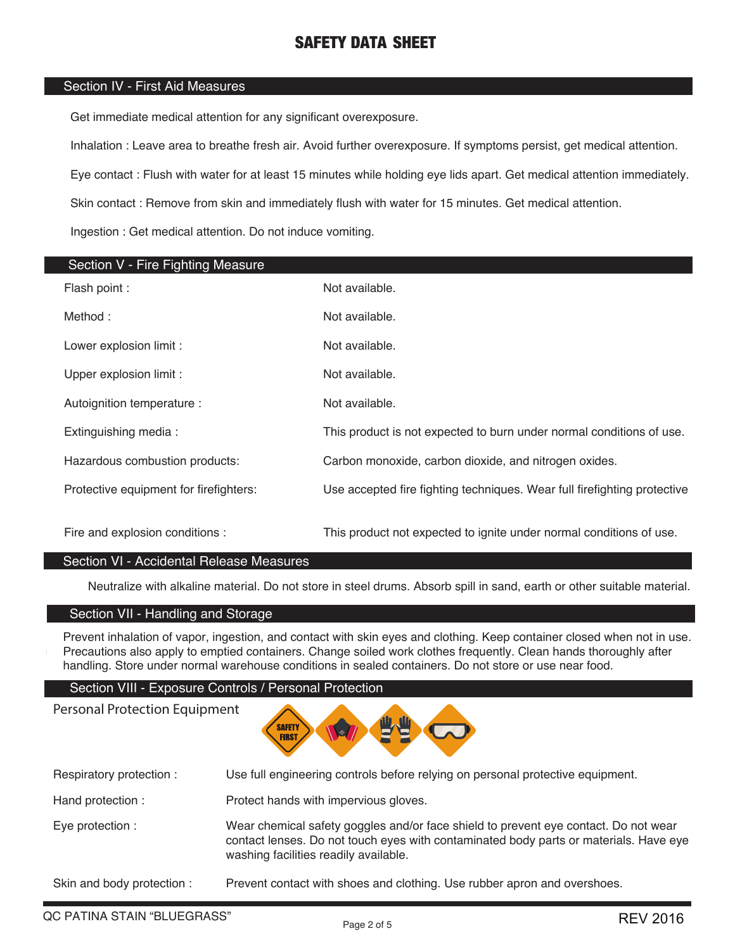# Section IV - First Aid Measures

Get immediate medical attention for any significant overexposure.

Inhalation : Leave area to breathe fresh air. Avoid further overexposure. If symptoms persist, get medical attention.

Eye contact : Flush with water for at least 15 minutes while holding eye lids apart. Get medical attention immediately.

Skin contact : Remove from skin and immediately flush with water for 15 minutes. Get medical attention.

Ingestion : Get medical attention. Do not induce vomiting.

| Section V - Fire Fighting Measure      |                                                                          |
|----------------------------------------|--------------------------------------------------------------------------|
| Flash point :                          | Not available.                                                           |
| Method:                                | Not available.                                                           |
| Lower explosion limit :                | Not available.                                                           |
| Upper explosion limit :                | Not available.                                                           |
| Autoignition temperature :             | Not available.                                                           |
| Extinguishing media:                   | This product is not expected to burn under normal conditions of use.     |
| Hazardous combustion products:         | Carbon monoxide, carbon dioxide, and nitrogen oxides.                    |
| Protective equipment for firefighters: | Use accepted fire fighting techniques. Wear full firefighting protective |
| Fire and explosion conditions :        | This product not expected to ignite under normal conditions of use.      |
|                                        |                                                                          |

### Section VI - Accidental Release Measures

Neutralize with alkaline material. Do not store in steel drums. Absorb spill in sand, earth or other suitable material.

# Section VII - Handling and Storage

Prevent inhalation of vapor, ingestion, and contact with skin eyes and clothing. Keep container closed when not in use. Precautions also apply to emptied containers. Change soiled work clothes frequently. Clean hands thoroughly after handling. Store under normal warehouse conditions in sealed containers. Do not store or use near food.

### Section VIII - Exposure Controls / Personal Protection

Personal Protection Equipment



| Respiratory protection:    | Use full engineering controls before relying on personal protective equipment.                                                                                                                                        |
|----------------------------|-----------------------------------------------------------------------------------------------------------------------------------------------------------------------------------------------------------------------|
| Hand protection:           | Protect hands with impervious gloves.                                                                                                                                                                                 |
| Eye protection :           | Wear chemical safety goggles and/or face shield to prevent eye contact. Do not wear<br>contact lenses. Do not touch eyes with contaminated body parts or materials. Have eye<br>washing facilities readily available. |
| Skin and body protection : | Prevent contact with shoes and clothing. Use rubber apron and overshoes.                                                                                                                                              |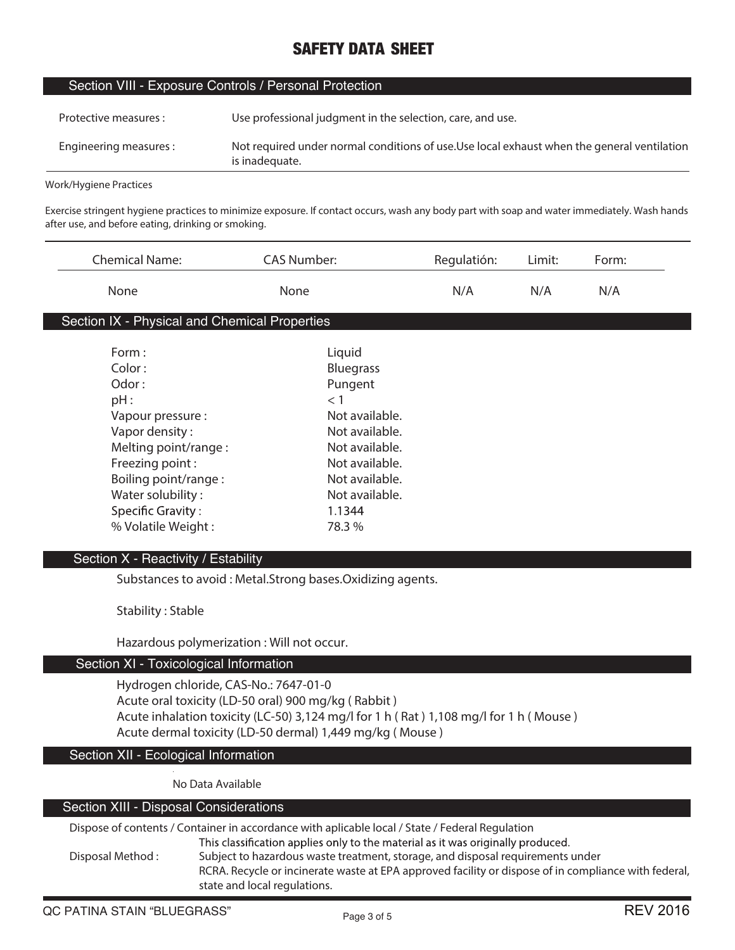### Section VIII - Exposure Controls / Personal Protection

| Protective measures :  | Use professional judgment in the selection, care, and use.                                                    |
|------------------------|---------------------------------------------------------------------------------------------------------------|
| Engineering measures : | Not required under normal conditions of use. Use local exhaust when the general ventilation<br>is inadequate. |

#### **Work/Hygiene Practices**

**Exercise stringent hygiene practices to minimize exposure. If contact occurs, wash any body part with soap and water immediately. Wash hands after use, and before eating, drinking or smoking.**

| <b>Chemical Name:</b>                         | <b>CAS Number:</b> | Regulatión: | Limit: | Form: |
|-----------------------------------------------|--------------------|-------------|--------|-------|
| None                                          | None               | N/A         | N/A    | N/A   |
| Section IX - Physical and Chemical Properties |                    |             |        |       |
| Form:                                         | Liquid             |             |        |       |
| Color:                                        | <b>Bluegrass</b>   |             |        |       |
| Odor:                                         | Pungent            |             |        |       |
| pH:                                           | $<$ 1              |             |        |       |
| Vapour pressure :                             | Not available.     |             |        |       |
| Vapor density:                                | Not available.     |             |        |       |
| Melting point/range:                          | Not available.     |             |        |       |
| Freezing point:                               | Not available.     |             |        |       |
| Boiling point/range:                          | Not available.     |             |        |       |
| Water solubility:                             | Not available.     |             |        |       |
| <b>Specific Gravity:</b>                      | 1.1344             |             |        |       |
| % Volatile Weight:                            | 78.3 %             |             |        |       |

### Section X - Reactivity / Estability

**Substances to avoid : Metal.Strong bases.Oxidizing agents.**

**Stability : Stable**

**Hazardous polymerization : Will not occur.**

#### Section XI - Toxicological Information

**Hydrogen chloride, CAS-No.: 7647-01-0 Acute oral toxicity (LD-50 oral) 900 mg/kg ( Rabbit ) Acute inhalation toxicity (LC-50) 3,124 mg/l for 1 h ( Rat ) 1,108 mg/l for 1 h ( Mouse ) Acute dermal toxicity (LD-50 dermal) 1,449 mg/kg ( Mouse )**

#### Section XII - Ecological Information

**No Data Available**

# Section XIII - Disposal Considerations

**Dispose of contents / Container in accordance with aplicable local / State / Federal Regulation**This classification applies only to the material as it was originally produced. **Disposal Method : Subject to hazardous waste treatment, storage, and disposal requirements under RCRA. Recycle or incinerate waste at EPA approved facility or dispose of in compliance with federal, state and local regulations.**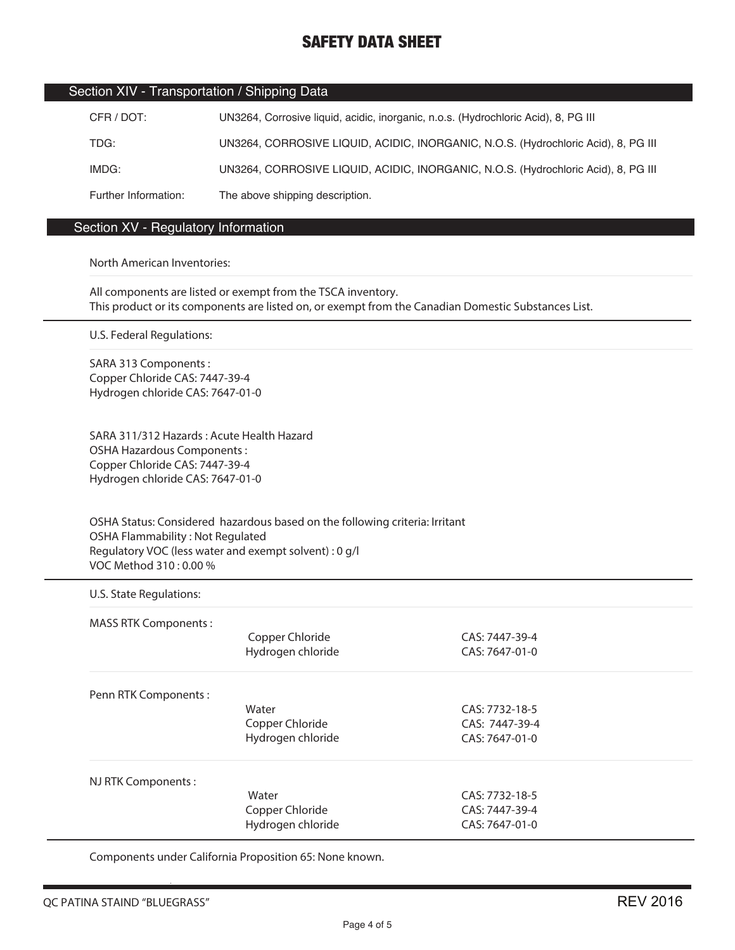|  | Section XIV - Transportation / Shipping Data |  |
|--|----------------------------------------------|--|
|--|----------------------------------------------|--|

| CFR / DOT:           | UN3264, Corrosive liquid, acidic, inorganic, n.o.s. (Hydrochloric Acid), 8, PG III |
|----------------------|------------------------------------------------------------------------------------|
| TDG:                 | UN3264, CORROSIVE LIQUID, ACIDIC, INORGANIC, N.O.S. (Hydrochloric Acid), 8, PG III |
| IMDG:                | UN3264, CORROSIVE LIQUID, ACIDIC, INORGANIC, N.O.S. (Hydrochloric Acid), 8, PG III |
| Further Information: | The above shipping description.                                                    |

# Section XV - Regulatory Information

#### North American Inventories:

All components are listed or exempt from the TSCA inventory. This product or its components are listed on, or exempt from the Canadian Domestic Substances List.

U.S. Federal Regulations:

SARA 313 Components : Copper Chloride CAS: 7447-39-4 Hydrogen chloride CAS: 7647-01-0

SARA 311/312 Hazards : Acute Health Hazard OSHA Hazardous Components : Copper Chloride CAS: 7447-39-4 Hydrogen chloride CAS: 7647-01-0

OSHA Status: Considered hazardous based on the following criteria: Irritant OSHA Flammability : Not Regulated Regulatory VOC (less water and exempt solvent) : 0 g/l VOC Method 310 : 0.00 %

#### U.S. State Regulations:

| <b>MASS RTK Components:</b> | Copper Chloride<br>Hydrogen chloride | CAS: 7447-39-4<br>$CAS: 7647-01-0$ |  |
|-----------------------------|--------------------------------------|------------------------------------|--|
| Penn RTK Components:        |                                      |                                    |  |
|                             | Water                                | CAS: 7732-18-5                     |  |
|                             | Copper Chloride                      | CAS: 7447-39-4                     |  |
|                             | Hydrogen chloride                    | CAS: 7647-01-0                     |  |
| NJ RTK Components:          |                                      |                                    |  |
|                             | Water                                | CAS: 7732-18-5                     |  |
|                             | Copper Chloride                      | CAS: 7447-39-4                     |  |
|                             | Hydrogen chloride                    | CAS: 7647-01-0                     |  |

Components under California Proposition 65: None known.